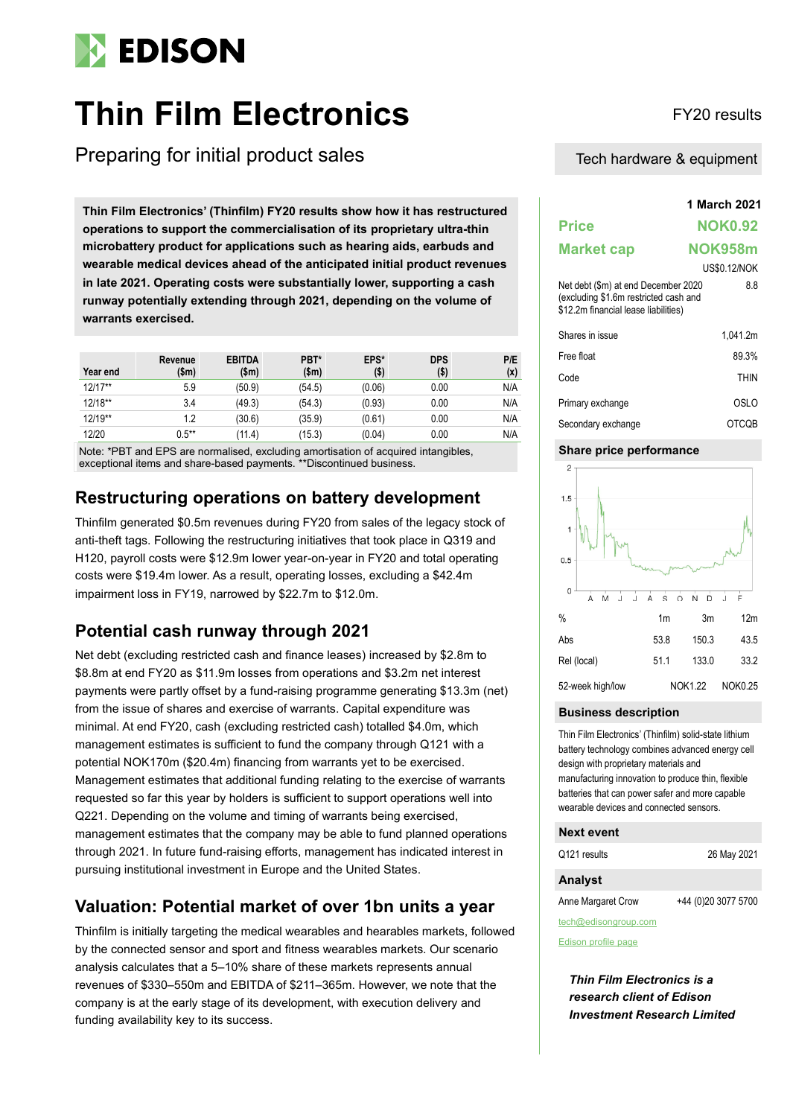

# **Thin Film Electronics** FY20 results

Preparing for initial product sales

**1 March 2021 Thin Film Electronics' (Thinfilm) FY20 results show how it has restructured operations to support the commercialisation of its proprietary ultra-thin microbattery product for applications such as hearing aids, earbuds and wearable medical devices ahead of the anticipated initial product revenues in late 2021. Operating costs were substantially lower, supporting a cash runway potentially extending through 2021, depending on the volume of warrants exercised.**

| Year end  | Revenue<br>(\$m) | <b>EBITDA</b><br>\$m\$ | PBT*<br>\$m\$ | EPS*<br>(\$) | <b>DPS</b><br>$($ \$) | P/E<br>(x) |
|-----------|------------------|------------------------|---------------|--------------|-----------------------|------------|
| $12/17**$ | 5.9              | (50.9)                 | (54.5)        | (0.06)       | 0.00                  | N/A        |
| 12/18**   | 3.4              | (49.3)                 | (54.3)        | (0.93)       | 0.00                  | N/A        |
| 12/19**   | 1.2              | (30.6)                 | (35.9)        | (0.61)       | 0.00                  | N/A        |
| 12/20     | $0.5***$         | (11.4)                 | (15.3)        | (0.04)       | 0.00                  | N/A        |

Note: \*PBT and EPS are normalised, excluding amortisation of acquired intangibles, exceptional items and share-based payments. \*\*Discontinued business.

### **Restructuring operations on battery development**

Thinfilm generated \$0.5m revenues during FY20 from sales of the legacy stock of anti-theft tags. Following the restructuring initiatives that took place in Q319 and H120, payroll costs were \$12.9m lower year-on-year in FY20 and total operating costs were \$19.4m lower. As a result, operating losses, excluding a \$42.4m impairment loss in FY19, narrowed by \$22.7m to \$12.0m.

### **Potential cash runway through 2021**

Net debt (excluding restricted cash and finance leases) increased by \$2.8m to \$8.8m at end FY20 as \$11.9m losses from operations and \$3.2m net interest payments were partly offset by a fund-raising programme generating \$13.3m (net) from the issue of shares and exercise of warrants. Capital expenditure was minimal. At end FY20, cash (excluding restricted cash) totalled \$4.0m, which management estimates is sufficient to fund the company through Q121 with a potential NOK170m (\$20.4m) financing from warrants yet to be exercised. Management estimates that additional funding relating to the exercise of warrants requested so far this year by holders is sufficient to support operations well into Q221. Depending on the volume and timing of warrants being exercised, management estimates that the company may be able to fund planned operations through 2021. In future fund-raising efforts, management has indicated interest in pursuing institutional investment in Europe and the United States.

### **Valuation: Potential market of over 1bn units a year**

Thinfilm is initially targeting the medical wearables and hearables markets, followed by the connected sensor and sport and fitness wearables markets. Our scenario analysis calculates that a 5–10% share of these markets represents annual revenues of \$330–550m and EBITDA of \$211–365m. However, we note that the company is at the early stage of its development, with execution delivery and funding availability key to its success.

Tech hardware & equipment

|                                                                                                                      | 1 March 2021        |             |  |
|----------------------------------------------------------------------------------------------------------------------|---------------------|-------------|--|
| Price                                                                                                                | <b>NOK0.92</b>      |             |  |
| <b>Market cap</b>                                                                                                    | <b>NOK958m</b>      |             |  |
|                                                                                                                      | <b>US\$0.12/NOK</b> |             |  |
| Net debt (\$m) at end December 2020<br>(excluding \$1.6m restricted cash and<br>\$12.2m financial lease liabilities) |                     | 8.8         |  |
| Shares in issue                                                                                                      |                     | 1.041.2m    |  |
| Free float                                                                                                           |                     | 89.3%       |  |
| Code                                                                                                                 |                     | <b>THIN</b> |  |
| Primary exchange                                                                                                     |                     | OSLO        |  |
| Secondary exchange                                                                                                   |                     | OTCQB       |  |

### **Share price performance**



### **Business description**

Thin Film Electronics' (Thinfilm) solid-state lithium battery technology combines advanced energy cell design with proprietary materials and manufacturing innovation to produce thin, flexible batteries that can power safer and more capable wearable devices and connected sensors.

### **Next event**

Q121 results 26 May 2021

### **Analyst**

Anne Margaret Crow +44 (0)20 3077 5700

tech@edisongroup.com

[Edison profile page](https://www.edisongroup.com/company/thin-film-electronics/1692/)

*Thin Film Electronics is a research client of Edison Investment Research Limited*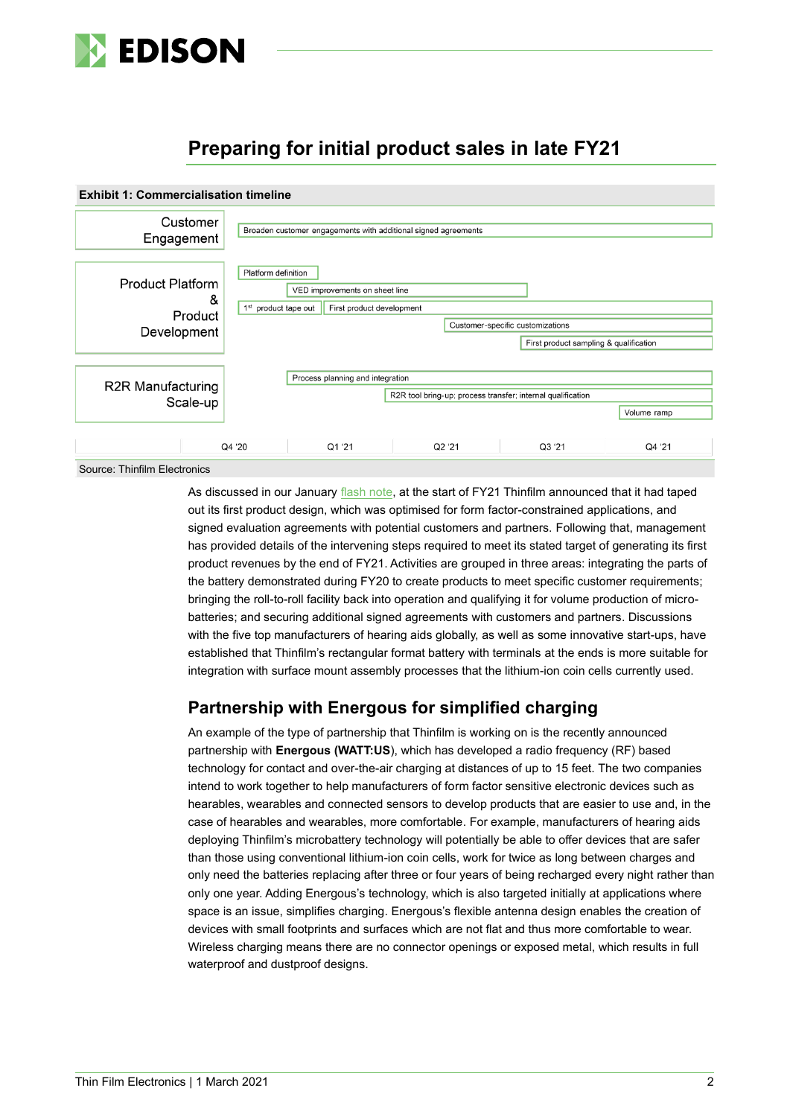

# **Preparing for initial product sales in late FY21**



Source: Thinfilm Electronics

As discussed in our January [flash note,](https://www.edisongroup.com/publication/first-product-design-taped-out/28716/) at the start of FY21 Thinfilm announced that it had taped out its first product design, which was optimised for form factor-constrained applications, and signed evaluation agreements with potential customers and partners. Following that, management has provided details of the intervening steps required to meet its stated target of generating its first product revenues by the end of FY21. Activities are grouped in three areas: integrating the parts of the battery demonstrated during FY20 to create products to meet specific customer requirements; bringing the roll-to-roll facility back into operation and qualifying it for volume production of microbatteries; and securing additional signed agreements with customers and partners. Discussions with the five top manufacturers of hearing aids globally, as well as some innovative start-ups, have established that Thinfilm's rectangular format battery with terminals at the ends is more suitable for integration with surface mount assembly processes that the lithium-ion coin cells currently used.

### **Partnership with Energous for simplified charging**

An example of the type of partnership that Thinfilm is working on is the recently announced partnership with **Energous (WATT:US**), which has developed a radio frequency (RF) based technology for contact and over-the-air charging at distances of up to 15 feet. The two companies intend to work together to help manufacturers of form factor sensitive electronic devices such as hearables, wearables and connected sensors to develop products that are easier to use and, in the case of hearables and wearables, more comfortable. For example, manufacturers of hearing aids deploying Thinfilm's microbattery technology will potentially be able to offer devices that are safer than those using conventional lithium-ion coin cells, work for twice as long between charges and only need the batteries replacing after three or four years of being recharged every night rather than only one year. Adding Energous's technology, which is also targeted initially at applications where space is an issue, simplifies charging. Energous's flexible antenna design enables the creation of devices with small footprints and surfaces which are not flat and thus more comfortable to wear. Wireless charging means there are no connector openings or exposed metal, which results in full waterproof and dustproof designs.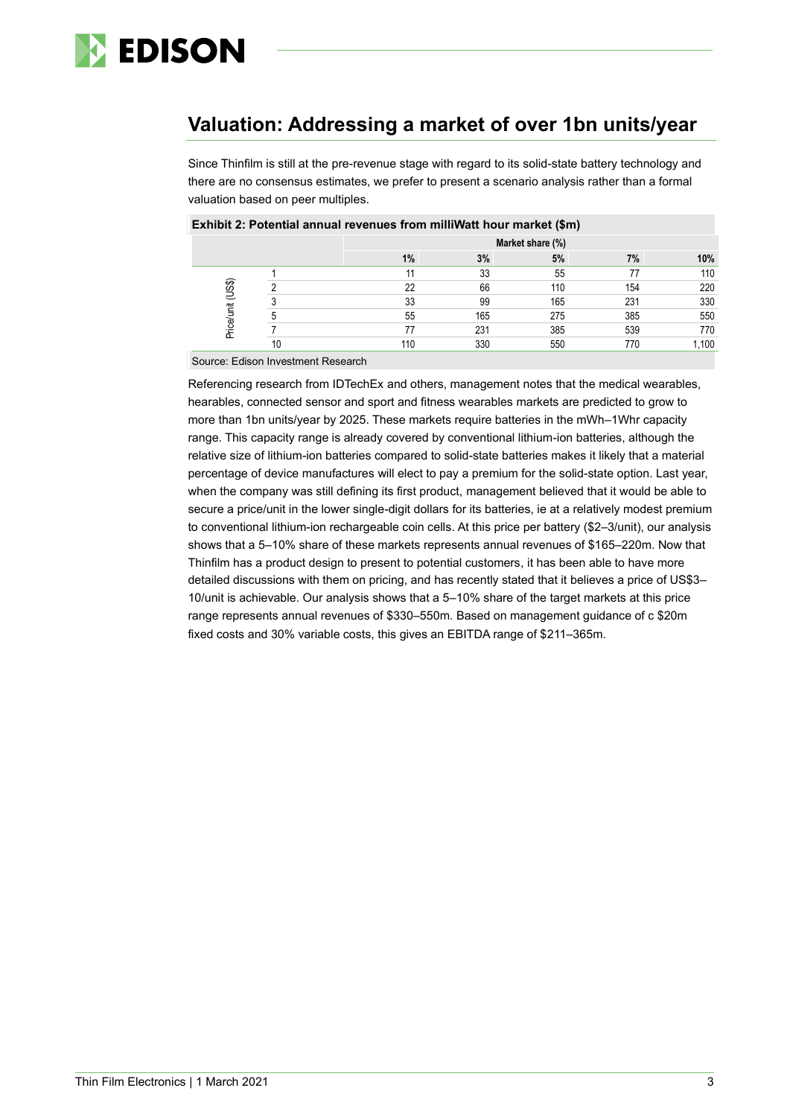

## **Valuation: Addressing a market of over 1bn units/year**

Since Thinfilm is still at the pre-revenue stage with regard to its solid-state battery technology and there are no consensus estimates, we prefer to present a scenario analysis rather than a formal valuation based on peer multiples.

|                   |    | Market share (%) |     |     |     |       |  |
|-------------------|----|------------------|-----|-----|-----|-------|--|
|                   |    | 1%               | 3%  | 5%  | 7%  | 10%   |  |
| Price/unit (US\$) |    | 11               | 33  | 55  |     | 110   |  |
|                   |    | 22               | 66  | 110 | 154 | 220   |  |
|                   |    | 33               | 99  | 165 | 231 | 330   |  |
|                   |    | 55               | 165 | 275 | 385 | 550   |  |
|                   |    | 77               | 231 | 385 | 539 | 770   |  |
|                   | 10 | 110              | 330 | 550 | 770 | 1,100 |  |

### **Exhibit 2: Potential annual revenues from milliWatt hour market (\$m)**

Source: Edison Investment Research

Referencing research from IDTechEx and others, management notes that the medical wearables, hearables, connected sensor and sport and fitness wearables markets are predicted to grow to more than 1bn units/year by 2025. These markets require batteries in the mWh–1Whr capacity range. This capacity range is already covered by conventional lithium-ion batteries, although the relative size of lithium-ion batteries compared to solid-state batteries makes it likely that a material percentage of device manufactures will elect to pay a premium for the solid-state option. Last year, when the company was still defining its first product, management believed that it would be able to secure a price/unit in the lower single-digit dollars for its batteries, ie at a relatively modest premium to conventional lithium-ion rechargeable coin cells. At this price per battery (\$2–3/unit), our analysis shows that a 5–10% share of these markets represents annual revenues of \$165–220m. Now that Thinfilm has a product design to present to potential customers, it has been able to have more detailed discussions with them on pricing, and has recently stated that it believes a price of US\$3– 10/unit is achievable. Our analysis shows that a 5–10% share of the target markets at this price range represents annual revenues of \$330–550m. Based on management guidance of c \$20m fixed costs and 30% variable costs, this gives an EBITDA range of \$211–365m.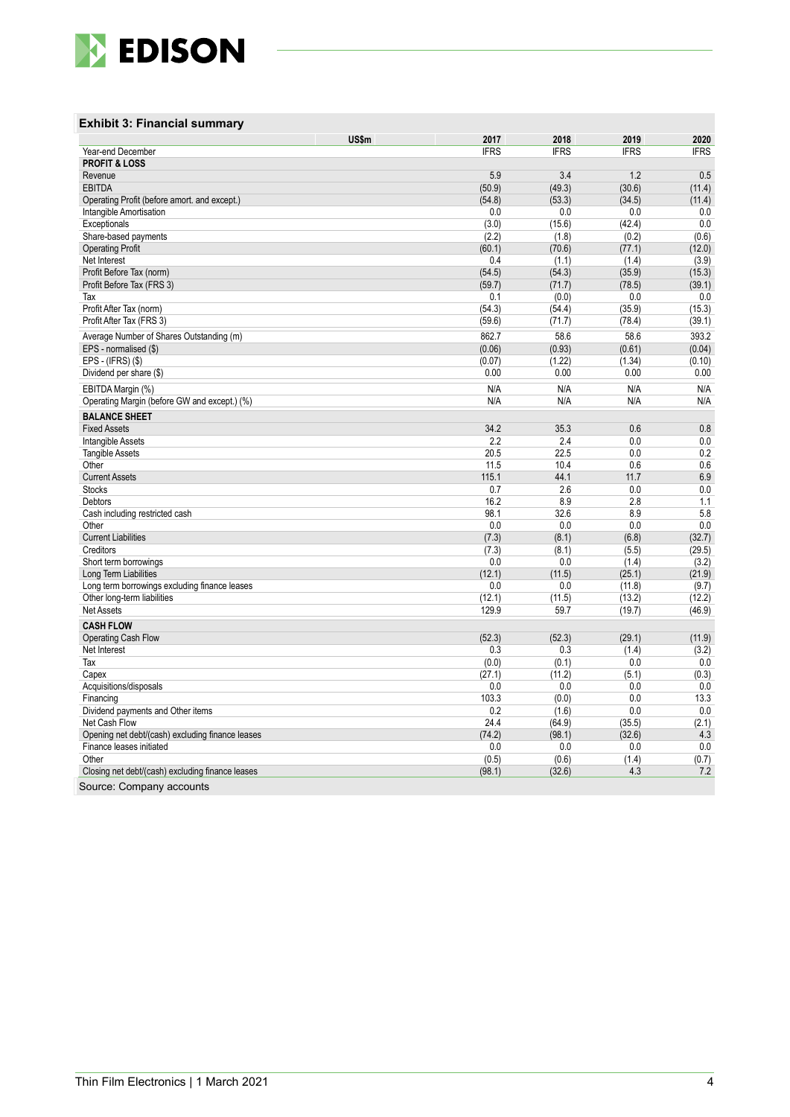

### **Exhibit 3 : Financial summary**

|                                                  | US\$m | 2017        | 2018        | 2019        | 2020        |
|--------------------------------------------------|-------|-------------|-------------|-------------|-------------|
| Year-end December                                |       | <b>IFRS</b> | <b>IFRS</b> | <b>IFRS</b> | <b>IFRS</b> |
| <b>PROFIT &amp; LOSS</b>                         |       |             |             |             |             |
| Revenue                                          |       | 5.9         | 3.4         | 1.2         | 0.5         |
| EBITDA                                           |       | (50.9)      | (49.3)      | (30.6)      | (11.4)      |
| Operating Profit (before amort. and except.)     |       | (54.8)      | (53.3)      | (34.5)      | (11.4)      |
| Intangible Amortisation                          |       | 0.0         | 0.0         | 0.0         | 0.0         |
| Exceptionals                                     |       | (3.0)       | (15.6)      | (42.4)      | 0.0         |
| Share-based payments                             |       | (2.2)       | (1.8)       | (0.2)       | (0.6)       |
| <b>Operating Profit</b>                          |       | (60.1)      | (70.6)      | (77.1)      | (12.0)      |
| Net Interest                                     |       | 0.4         | (1.1)       | (1.4)       | (3.9)       |
| Profit Before Tax (norm)                         |       | (54.5)      | (54.3)      | (35.9)      | (15.3)      |
| Profit Before Tax (FRS 3)                        |       | (59.7)      | (71.7)      | (78.5)      | (39.1)      |
| Tax                                              |       | 0.1         | (0.0)       | 0.0         | 0.0         |
| Profit After Tax (norm)                          |       | (54.3)      | (54.4)      | (35.9)      | (15.3)      |
| Profit After Tax (FRS 3)                         |       | (59.6)      | (71.7)      | (78.4)      | (39.1)      |
| Average Number of Shares Outstanding (m)         |       | 862.7       | 58.6        | 58.6        | 393.2       |
| EPS - normalised (\$)                            |       | (0.06)      | (0.93)      | (0.61)      | (0.04)      |
| EPS - (IFRS) (\$)                                |       | (0.07)      | (1.22)      | (1.34)      | (0.10)      |
| Dividend per share (\$)                          |       | 0.00        | 0.00        | 0.00        | 0.00        |
|                                                  |       |             |             |             |             |
| EBITDA Margin (%)                                |       | N/A<br>N/A  | N/A<br>N/A  | N/A<br>N/A  | N/A         |
| Operating Margin (before GW and except.) (%)     |       |             |             |             | N/A         |
| <b>BALANCE SHEET</b>                             |       |             |             |             |             |
| <b>Fixed Assets</b>                              |       | 34.2        | 35.3        | 0.6         | 0.8         |
| Intangible Assets                                |       | 2.2         | 2.4         | 0.0         | 0.0         |
| <b>Tangible Assets</b>                           |       | 20.5        | 22.5        | 0.0         | 0.2         |
| Other                                            |       | 11.5        | 10.4        | 0.6         | 0.6         |
| <b>Current Assets</b>                            |       | 115.1       | 44.1        | 11.7        | 6.9         |
| <b>Stocks</b>                                    |       | 0.7         | 2.6         | 0.0         | 0.0         |
| Debtors                                          |       | 16.2        | 8.9         | 2.8         | 1.1         |
| Cash including restricted cash                   |       | 98.1        | 32.6        | 8.9         | 5.8         |
| Other                                            |       | 0.0         | 0.0         | 0.0         | 0.0         |
| <b>Current Liabilities</b>                       |       | (7.3)       | (8.1)       | (6.8)       | (32.7)      |
| Creditors                                        |       | (7.3)       | (8.1)       | (5.5)       | (29.5)      |
| Short term borrowings                            |       | 0.0         | 0.0         | (1.4)       | (3.2)       |
| Long Term Liabilities                            |       | (12.1)      | (11.5)      | (25.1)      | (21.9)      |
| Long term borrowings excluding finance leases    |       | 0.0         | 0.0         | (11.8)      | (9.7)       |
| Other long-term liabilities                      |       | (12.1)      | (11.5)      | (13.2)      | (12.2)      |
| Net Assets                                       |       | 129.9       | 59.7        | (19.7)      | (46.9)      |
| <b>CASH FLOW</b>                                 |       |             |             |             |             |
| Operating Cash Flow                              |       | (52.3)      | (52.3)      | (29.1)      | (11.9)      |
| Net Interest                                     |       | 0.3         | 0.3         | (1.4)       | (3.2)       |
| Tax                                              |       | (0.0)       | (0.1)       | 0.0         | 0.0         |
| Capex                                            |       | (27.1)      | (11.2)      | (5.1)       | (0.3)       |
| Acquisitions/disposals                           |       | 0.0         | 0.0         | 0.0         | 0.0         |
| Financing                                        |       | 103.3       | (0.0)       | 0.0         | 13.3        |
| Dividend payments and Other items                |       | 0.2         | (1.6)       | 0.0         | 0.0         |
| Net Cash Flow                                    |       | 24.4        | (64.9)      | (35.5)      | (2.1)       |
| Opening net debt/(cash) excluding finance leases |       | (74.2)      | (98.1)      | (32.6)      | 4.3         |
| Finance leases initiated                         |       | 0.0         | 0.0         | 0.0         | 0.0         |
| Other                                            |       | (0.5)       | (0.6)       | (1.4)       | (0.7)       |
| Closing net debt/(cash) excluding finance leases |       | (98.1)      | (32.6)      | 4.3         | 7.2         |
| Source: Company accounts                         |       |             |             |             |             |